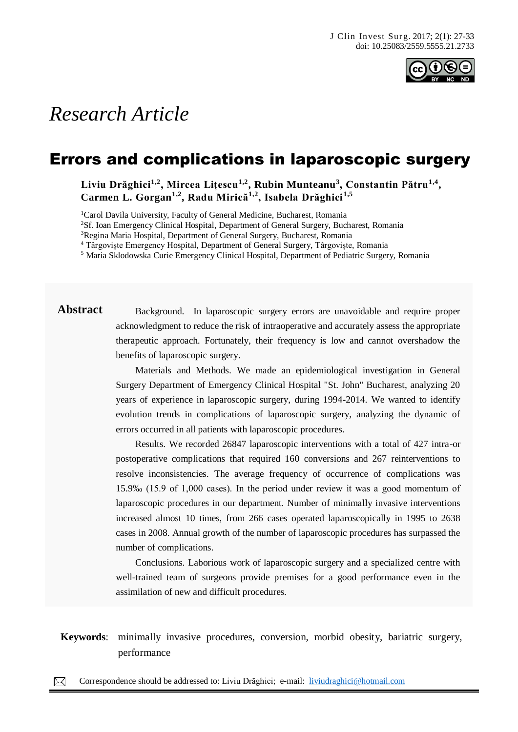

# *Research Article*

## Errors and complications in laparoscopic surgery

**Liviu Drăghici1,2, Mircea Lițescu1,2, Rubin Munteanu<sup>3</sup> , Constantin Pătru1,4 , Carmen L. Gorgan1,2, Radu Mirică1,2, Isabela Drăghici1,5**

<sup>1</sup>Carol Davila University, Faculty of General Medicine, Bucharest, Romania

<sup>2</sup>Sf. Ioan Emergency Clinical Hospital, Department of General Surgery, Bucharest, Romania

<sup>3</sup>Regina Maria Hospital, Department of General Surgery, Bucharest, Romania

<sup>4</sup> Târgoviște Emergency Hospital, Department of General Surgery, Târgoviște, Romania

<sup>5</sup> Maria Sklodowska Curie Emergency Clinical Hospital, Department of Pediatric Surgery, Romania

Abstract Background. In laparoscopic surgery errors are unavoidable and require proper acknowledgment to reduce the risk of intraoperative and accurately assess the appropriate therapeutic approach. Fortunately, their frequency is low and cannot overshadow the benefits of laparoscopic surgery.

> Materials and Methods. We made an epidemiological investigation in General Surgery Department of Emergency Clinical Hospital "St. John" Bucharest, analyzing 20 years of experience in laparoscopic surgery, during 1994-2014. We wanted to identify evolution trends in complications of laparoscopic surgery, analyzing the dynamic of errors occurred in all patients with laparoscopic procedures.

> Results. We recorded 26847 laparoscopic interventions with a total of 427 intra-or postoperative complications that required 160 conversions and 267 reinterventions to resolve inconsistencies. The average frequency of occurrence of complications was 15.9‰ (15.9 of 1,000 cases). In the period under review it was a good momentum of laparoscopic procedures in our department. Number of minimally invasive interventions increased almost 10 times, from 266 cases operated laparoscopically in 1995 to 2638 cases in 2008. Annual growth of the number of laparoscopic procedures has surpassed the number of complications.

> Conclusions. Laborious work of laparoscopic surgery and a specialized centre with well-trained team of surgeons provide premises for a good performance even in the assimilation of new and difficult procedures.

Keywords: minimally invasive procedures, conversion, morbid obesity, bariatric surgery, performance comes hematic or meliceric crusts, nodules and sometimes hematic or meliceric crusts, located on the meliceric crusts, located on the meliceric crusts, located on the meliceric crusts, located on the meliceric

 $\boxtimes$ Correspondence should be addressed to: Liviu Drăghici; e-mail: [liviudraghici@hotmail.com](mailto:liviudraghici@hotmail.com) **Case Report**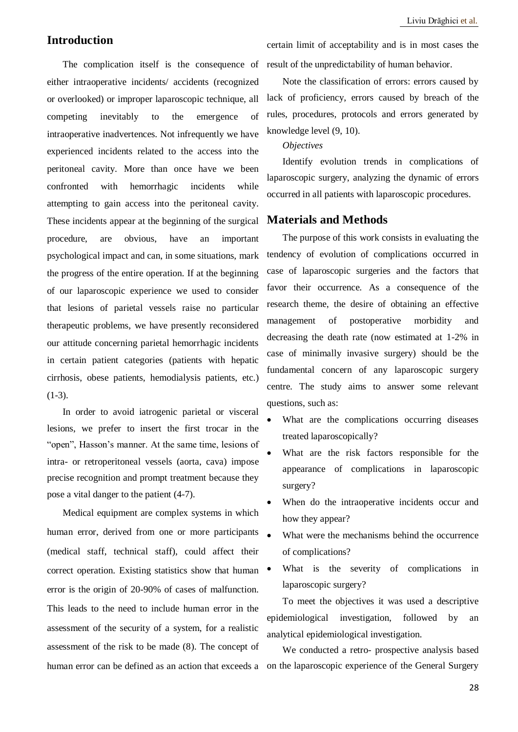### **Introduction**

The complication itself is the consequence of either intraoperative incidents/ accidents (recognized or overlooked) or improper laparoscopic technique, all competing inevitably to the emergence of intraoperative inadvertences. Not infrequently we have experienced incidents related to the access into the peritoneal cavity. More than once have we been confronted with hemorrhagic incidents while attempting to gain access into the peritoneal cavity. These incidents appear at the beginning of the surgical procedure, are obvious, have an important psychological impact and can, in some situations, mark the progress of the entire operation. If at the beginning of our laparoscopic experience we used to consider that lesions of parietal vessels raise no particular therapeutic problems, we have presently reconsidered our attitude concerning parietal hemorrhagic incidents in certain patient categories (patients with hepatic cirrhosis, obese patients, hemodialysis patients, etc.)  $(1-3)$ .

In order to avoid iatrogenic parietal or visceral lesions, we prefer to insert the first trocar in the "open", Hasson's manner. At the same time, lesions of intra- or retroperitoneal vessels (aorta, cava) impose precise recognition and prompt treatment because they pose a vital danger to the patient (4-7).

Medical equipment are complex systems in which human error, derived from one or more participants (medical staff, technical staff), could affect their correct operation. Existing statistics show that human error is the origin of 20-90% of cases of malfunction. This leads to the need to include human error in the assessment of the security of a system, for a realistic assessment of the risk to be made (8). The concept of

certain limit of acceptability and is in most cases the result of the unpredictability of human behavior.

Note the classification of errors: errors caused by lack of proficiency, errors caused by breach of the rules, procedures, protocols and errors generated by knowledge level (9, 10).

#### *Objectives*

Identify evolution trends in complications of laparoscopic surgery, analyzing the dynamic of errors occurred in all patients with laparoscopic procedures.

#### **Materials and Methods**

The purpose of this work consists in evaluating the tendency of evolution of complications occurred in case of laparoscopic surgeries and the factors that favor their occurrence. As a consequence of the research theme, the desire of obtaining an effective management of postoperative morbidity and decreasing the death rate (now estimated at 1-2% in case of minimally invasive surgery) should be the fundamental concern of any laparoscopic surgery centre. The study aims to answer some relevant questions, such as:

- What are the complications occurring diseases treated laparoscopically?
- What are the risk factors responsible for the appearance of complications in laparoscopic surgery?
- When do the intraoperative incidents occur and how they appear?
- What were the mechanisms behind the occurrence of complications?
- What is the severity of complications in laparoscopic surgery?

To meet the objectives it was used a descriptive epidemiological investigation, followed by an analytical epidemiological investigation.

human error can be defined as an action that exceeds a on the laparoscopic experience of the General Surgery We conducted a retro- prospective analysis based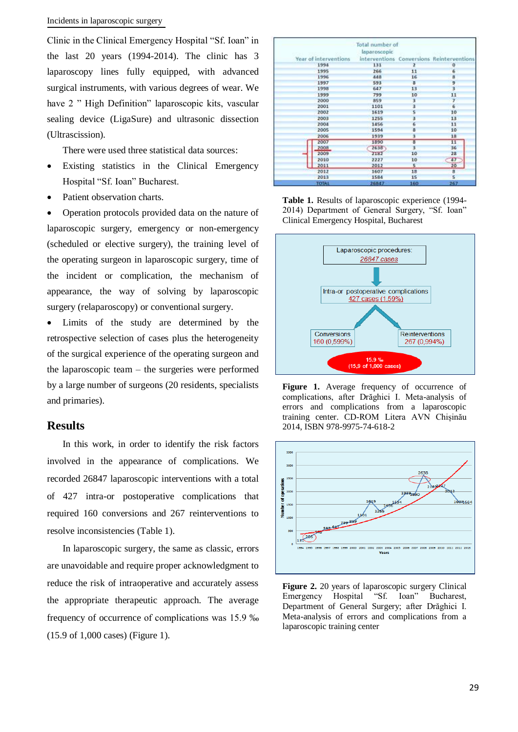#### Incidents in laparoscopic surgery

Clinic in the Clinical Emergency Hospital "Sf. Ioan" in the last 20 years (1994-2014). The clinic has 3 laparoscopy lines fully equipped, with advanced surgical instruments, with various degrees of wear. We have 2 " High Definition" laparoscopic kits, vascular sealing device (LigaSure) and ultrasonic dissection (Ultrascission).

There were used three statistical data sources:

- Existing statistics in the Clinical Emergency Hospital "Sf. Ioan" Bucharest.
- Patient observation charts.

• Operation protocols provided data on the nature of laparoscopic surgery, emergency or non-emergency (scheduled or elective surgery), the training level of the operating surgeon in laparoscopic surgery, time of the incident or complication, the mechanism of appearance, the way of solving by laparoscopic surgery (relaparoscopy) or conventional surgery.

 Limits of the study are determined by the retrospective selection of cases plus the heterogeneity of the surgical experience of the operating surgeon and the laparoscopic team – the surgeries were performed by a large number of surgeons (20 residents, specialists and primaries).

### **Results**

In this work, in order to identify the risk factors involved in the appearance of complications. We recorded 26847 laparoscopic interventions with a total of 427 intra-or postoperative complications that required 160 conversions and 267 reinterventions to resolve inconsistencies (Table 1).

In laparoscopic surgery, the same as classic, errors are unavoidable and require proper acknowledgment to reduce the risk of intraoperative and accurately assess the appropriate therapeutic approach. The average frequency of occurrence of complications was 15.9 ‰ (15.9 of 1,000 cases) (Figure 1).

|                       | Total number of |                         |                                           |
|-----------------------|-----------------|-------------------------|-------------------------------------------|
|                       | laparoscopic    |                         |                                           |
| Year of interventions |                 |                         | interventions Conversions Reinterventions |
| 1994                  | 131             | 2                       | $\ddot{\mathbf{0}}$                       |
| 1995                  | 266             | 11                      | 6                                         |
| 1996                  | 448             | 16                      | ß                                         |
| 1997                  | 593             | $\overline{\mathbf{3}}$ | 9                                         |
| 1998                  | 647             | 13                      | š                                         |
| 1999                  | 799             | 10                      | 11                                        |
| 2000                  | 859             | 3                       | $\overline{r}$                            |
| 2001                  | 1101            | 3                       | 6                                         |
| 2002                  | 1619            | ţ.                      | 10                                        |
| 2003                  | 1255            | $\overline{\mathbf{3}}$ | 13                                        |
| 2004                  | 1456            | Ġ                       | 11                                        |
| 2005                  | 1594            | 8                       | 10                                        |
| 2006                  | 1939            | 3                       | 18                                        |
| 2007                  | 1890            | $\overline{3}$          | $\overline{11}$                           |
| 2008                  | 2638            | 3                       | 36                                        |
| 2009                  | 2182            | 10                      | 28                                        |
| 2010                  | 2227            | 10                      | 47                                        |
| 2011                  | 2012            | 5 <sup>2</sup>          | 20                                        |
| 2012                  | 1607            | 13                      | $\mathbf{a}$                              |
| 2013                  | 1584            | 15                      | s                                         |
| TOTAL                 | 26847           | 160                     | 267                                       |

**Table 1.** Results of laparoscopic experience (1994- 2014) Department of General Surgery, "Sf. Ioan" Clinical Emergency Hospital, Bucharest



**Figure 1.** Average frequency of occurrence of complications, after Drăghici I. Meta-analysis of errors and complications from a laparoscopic training center. CD-ROM Litera AVN Chișinău 2014, ISBN 978-9975-74-618-2



**Figure 2.** 20 years of laparoscopic surgery Clinical Emergency Hospital "Sf. Ioan" Bucharest, Department of General Surgery; after Drăghici I. Meta-analysis of errors and complications from a laparoscopic training center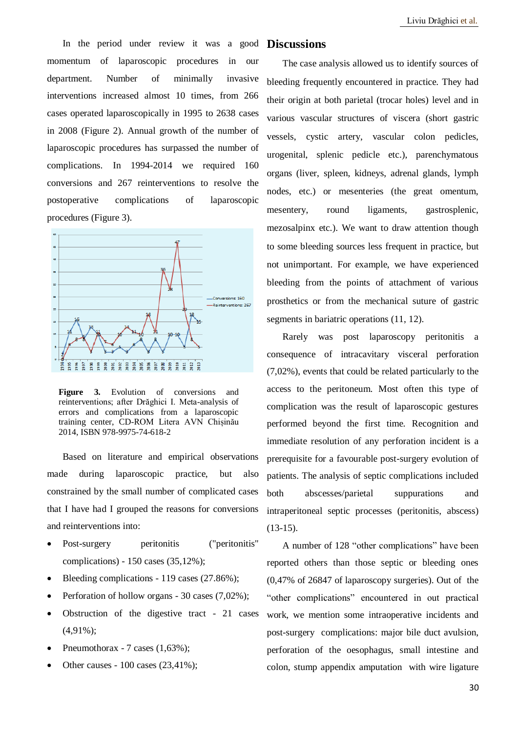In the period under review it was a good **Discussions** momentum of laparoscopic procedures in our department. Number of minimally invasive interventions increased almost 10 times, from 266 cases operated laparoscopically in 1995 to 2638 cases in 2008 (Figure 2). Annual growth of the number of laparoscopic procedures has surpassed the number of complications. In 1994-2014 we required 160 conversions and 267 reinterventions to resolve the postoperative complications of laparoscopic procedures (Figure 3).



**Figure 3.** Evolution of conversions and reinterventions; after Drăghici I. Meta-analysis of errors and complications from a laparoscopic training center, CD-ROM Litera AVN Chișinău 2014, ISBN 978-9975-74-618-2

Based on literature and empirical observations made during laparoscopic practice, but also constrained by the small number of complicated cases that I have had I grouped the reasons for conversions and reinterventions into:

- Post-surgery peritonitis ("peritonitis" complications) - 150 cases (35,12%);
- Bleeding complications 119 cases (27.86%);
- Perforation of hollow organs 30 cases (7,02%);
- Obstruction of the digestive tract 21 cases (4,91%);
- Pneumothorax 7 cases (1,63%);
- Other causes 100 cases (23,41%);

The case analysis allowed us to identify sources of bleeding frequently encountered in practice. They had their origin at both parietal (trocar holes) level and in various vascular structures of viscera (short gastric vessels, cystic artery, vascular colon pedicles, urogenital, splenic pedicle etc.), parenchymatous organs (liver, spleen, kidneys, adrenal glands, lymph nodes, etc.) or mesenteries (the great omentum, mesentery, round ligaments, gastrosplenic, mezosalpinx etc.). We want to draw attention though to some bleeding sources less frequent in practice, but not unimportant. For example, we have experienced bleeding from the points of attachment of various prosthetics or from the mechanical suture of gastric segments in bariatric operations  $(11, 12)$ .

Rarely was post laparoscopy peritonitis a consequence of intracavitary visceral perforation (7,02%), events that could be related particularly to the access to the peritoneum. Most often this type of complication was the result of laparoscopic gestures performed beyond the first time. Recognition and immediate resolution of any perforation incident is a prerequisite for a favourable post-surgery evolution of patients. The analysis of septic complications included both abscesses/parietal suppurations and intraperitoneal septic processes (peritonitis, abscess)  $(13-15)$ .

A number of 128 "other complications" have been reported others than those septic or bleeding ones (0,47% of 26847 of laparoscopy surgeries). Out of the "other complications" encountered in out practical work, we mention some intraoperative incidents and post-surgery complications: major bile duct avulsion, perforation of the oesophagus, small intestine and colon, stump appendix amputation with wire ligature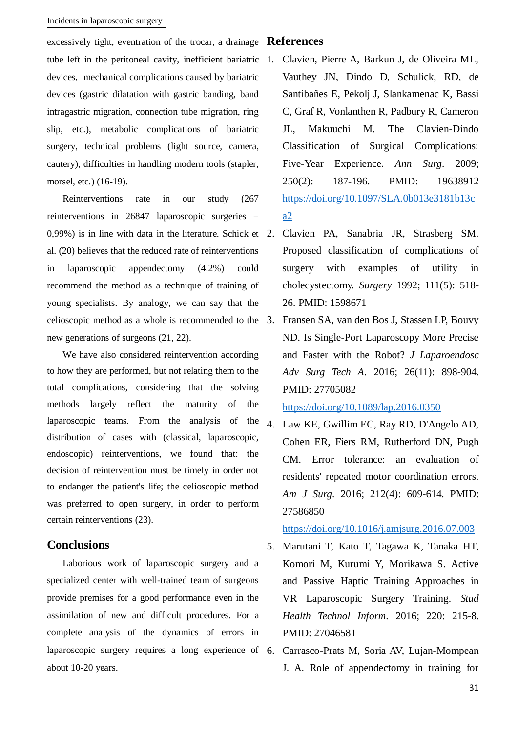#### Incidents in laparoscopic surgery

excessively tight, eventration of the trocar, a drainage **References** tube left in the peritoneal cavity, inefficient bariatric 1. devices, mechanical complications caused by bariatric devices (gastric dilatation with gastric banding, band intragastric migration, connection tube migration, ring slip, etc.), metabolic complications of bariatric surgery, technical problems (light source, camera, cautery), difficulties in handling modern tools (stapler, morsel, etc.) (16-19).

Reinterventions rate in our study (267 reinterventions in 26847 laparoscopic surgeries = 0,99%) is in line with data in the literature. Schick et al. (20) believes that the reduced rate of reinterventions in laparoscopic appendectomy (4.2%) could recommend the method as a technique of training of young specialists. By analogy, we can say that the celioscopic method as a whole is recommended to the new generations of surgeons (21, 22).

We have also considered reintervention according to how they are performed, but not relating them to the total complications, considering that the solving methods largely reflect the maturity of the laparoscopic teams. From the analysis of the distribution of cases with (classical, laparoscopic, endoscopic) reinterventions, we found that: the decision of reintervention must be timely in order not to endanger the patient's life; the celioscopic method was preferred to open surgery, in order to perform certain reinterventions (23).

#### **Conclusions**

Laborious work of laparoscopic surgery and a specialized center with well-trained team of surgeons provide premises for a good performance even in the assimilation of new and difficult procedures. For a complete analysis of the dynamics of errors in laparoscopic surgery requires a long experience of 6. about 10-20 years.

- 1. Clavien, Pierre A, Barkun J, de Oliveira ML, Vauthey JN, Dindo D, Schulick, RD, de Santibañes E, Pekolj J, Slankamenac K, Bassi C, Graf R, Vonlanthen R, Padbury R, Cameron JL, Makuuchi M. The Clavien-Dindo Classification of Surgical Complications: Five-Year Experience. *Ann Surg*. 2009; 250(2): 187-196. PMID: 19638912 [https://doi.org/10.1097/SLA.0b013e3181b13c](https://doi.org/10.1097/SLA.0b013e3181b13ca2) [a2](https://doi.org/10.1097/SLA.0b013e3181b13ca2)
- 2. Clavien PA, Sanabria JR, Strasberg SM. Proposed classification of complications of surgery with examples of utility in cholecystectomy. *Surgery* 1992; 111(5): 518- 26. PMID: 1598671
- 3. Fransen SA, van den Bos J, Stassen LP, Bouvy ND. Is Single-Port Laparoscopy More Precise and Faster with the Robot? *J Laparoendosc Adv Surg Tech A*. 2016; 26(11): 898-904. PMID: 27705082

<https://doi.org/10.1089/lap.2016.0350>

4. Law KE, Gwillim EC, Ray RD, D'Angelo AD, Cohen ER, Fiers RM, Rutherford DN, Pugh CM. Error tolerance: an evaluation of residents' repeated motor coordination errors. *Am J Surg*. 2016; 212(4): 609-614. PMID: 27586850

<https://doi.org/10.1016/j.amjsurg.2016.07.003>

- 5. Marutani T, Kato T, Tagawa K, Tanaka HT, Komori M, Kurumi Y, Morikawa S. Active and Passive Haptic Training Approaches in VR Laparoscopic Surgery Training. *Stud Health Technol Inform*. 2016; 220: 215-8. PMID: 27046581
- 6. Carrasco-Prats M, Soria AV, Lujan-Mompean J. A. Role of appendectomy in training for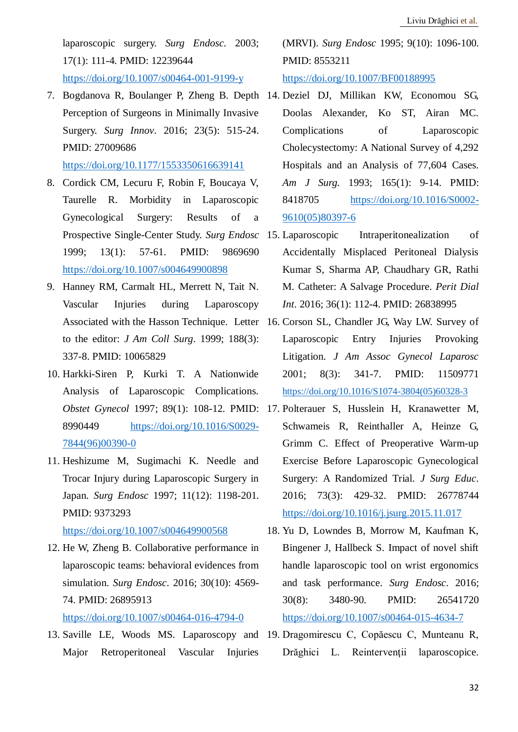laparoscopic surgery. *Surg Endosc.* 2003; 17(1): 111-4. PMID: 12239644 <https://doi.org/10.1007/s00464-001-9199-y>

7. Bogdanova R, Boulanger P, Zheng B. Depth 14. Deziel DJ, Millikan KW, Economou SG, Perception of Surgeons in Minimally Invasive Surgery. *Surg Innov*. 2016; 23(5): 515-24. PMID: 27009686

<https://doi.org/10.1177/1553350616639141>

- 8. Cordick CM, Lecuru F, Robin F, Boucaya V, Taurelle R. Morbidity in Laparoscopic Gynecological Surgery: Results of a Prospective Single-Center Study. *Surg Endosc* 1999; 13(1): 57-61. PMID: 9869690 <https://doi.org/10.1007/s004649900898>
- 9. Hanney RM, Carmalt HL, Merrett N, Tait N. Vascular Injuries during Laparoscopy to the editor: *J Am Coll Surg*. 1999; 188(3): 337-8. PMID: 10065829
- 10. Harkki-Siren P, Kurki T. A Nationwide Analysis of Laparoscopic Complications. 8990449 [https://doi.org/10.1016/S0029-](https://doi.org/10.1016/S0029-7844(96)00390-0) [7844\(96\)00390-0](https://doi.org/10.1016/S0029-7844(96)00390-0)
- 11. Heshizume M, Sugimachi K. Needle and Trocar Injury during Laparoscopic Surgery in Japan. *Surg Endosc* 1997; 11(12): 1198-201. PMID: 9373293

<https://doi.org/10.1007/s004649900568>

- 12. He W, Zheng B. Collaborative performance in laparoscopic teams: behavioral evidences from simulation. *Surg Endosc*. 2016; 30(10): 4569- 74. PMID: 26895913 <https://doi.org/10.1007/s00464-016-4794-0>
- Major Retroperitoneal Vascular Injuries

(MRVI). *Surg Endosc* 1995; 9(10): 1096-100. PMID: 8553211 <https://doi.org/10.1007/BF00188995>

- Doolas Alexander, Ko ST, Airan MC. Complications of Laparoscopic Cholecystectomy: A National Survey of 4,292 Hospitals and an Analysis of 77,604 Cases. *Am J Surg.* 1993; 165(1): 9-14. PMID: 8418705 [https://doi.org/10.1016/S0002-](https://doi.org/10.1016/S0002-9610(05)80397-6) [9610\(05\)80397-6](https://doi.org/10.1016/S0002-9610(05)80397-6)
- Intraperitonealization of Accidentally Misplaced Peritoneal Dialysis Kumar S, Sharma AP, Chaudhary GR, Rathi M. Catheter: A Salvage Procedure. *Perit Dial Int*. 2016; 36(1): 112-4. PMID: 26838995
- Associated with the Hasson Technique. Letter 16. Corson SL, Chandler JG, Way LW. Survey of Laparoscopic Entry Injuries Provoking Litigation. *J Am Assoc Gynecol Laparosc* 2001; 8(3): 341-7. PMID: 11509771 [https://doi.org/10.1016/S1074-3804\(05\)60328-3](https://doi.org/10.1016/S1074-3804(05)60328-3)
- *Obstet Gynecol* 1997; 89(1): 108-12. PMID: 17. Polterauer S, Husslein H, Kranawetter M, Schwameis R, Reinthaller A, Heinze G, Grimm C. Effect of Preoperative Warm-up Exercise Before Laparoscopic Gynecological Surgery: A Randomized Trial. *J Surg Educ*. 2016; 73(3): 429-32. PMID: 26778744 <https://doi.org/10.1016/j.jsurg.2015.11.017>
	- 18. Yu D, Lowndes B, Morrow M, Kaufman K, Bingener J, Hallbeck S. Impact of novel shift handle laparoscopic tool on wrist ergonomics and task performance. *Surg Endosc*. 2016; 30(8): 3480-90. PMID: 26541720 <https://doi.org/10.1007/s00464-015-4634-7>
- 13. Saville LE, Woods MS. Laparoscopy and 19. Dragomirescu C, Copăescu C, Munteanu R, Drăghici L. Reintervenții laparoscopice.